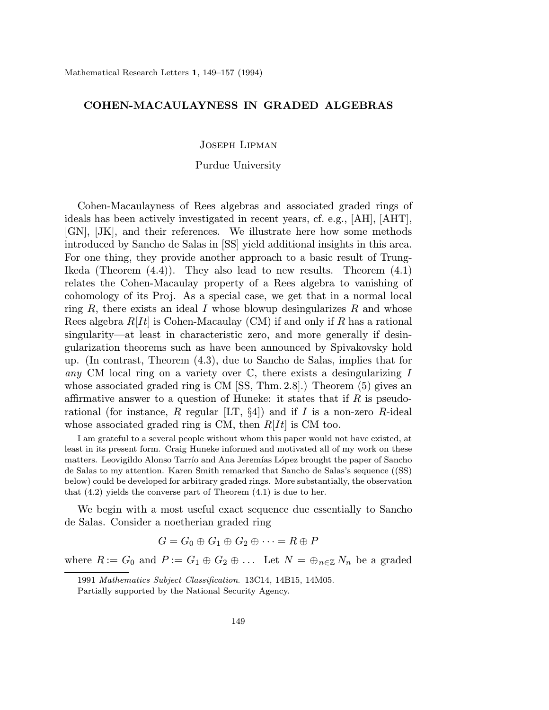## COHEN-MACAULAYNESS IN GRADED ALGEBRAS

Joseph Lipman

## Purdue University

Cohen-Macaulayness of Rees algebras and associated graded rings of ideals has been actively investigated in recent years, cf. e.g., [AH], [AHT], [GN], [JK], and their references. We illustrate here how some methods introduced by Sancho de Salas in [SS] yield additional insights in this area. For one thing, they provide another approach to a basic result of Trung-Ikeda (Theorem  $(4.4)$ ). They also lead to new results. Theorem  $(4.1)$ relates the Cohen-Macaulay property of a Rees algebra to vanishing of cohomology of its Proj. As a special case, we get that in a normal local ring  $R$ , there exists an ideal I whose blowup desingularizes  $R$  and whose Rees algebra  $R[It]$  is Cohen-Macaulay (CM) if and only if R has a rational singularity—at least in characteristic zero, and more generally if desingularization theorems such as have been announced by Spivakovsky hold up. (In contrast, Theorem (4.3), due to Sancho de Salas, implies that for any CM local ring on a variety over  $\mathbb{C}$ , there exists a desingularizing I whose associated graded ring is CM [SS, Thm. 2.8].) Theorem (5) gives an affirmative answer to a question of Huneke: it states that if  $R$  is pseudorational (for instance, R regular  $[LT, §4]$ ) and if I is a non-zero R-ideal whose associated graded ring is CM, then  $R[It]$  is CM too.

I am grateful to a several people without whom this paper would not have existed, at least in its present form. Craig Huneke informed and motivated all of my work on these matters. Leovigildo Alonso Tarrío and Ana Jeremías López brought the paper of Sancho de Salas to my attention. Karen Smith remarked that Sancho de Salas's sequence ((SS) below) could be developed for arbitrary graded rings. More substantially, the observation that  $(4.2)$  yields the converse part of Theorem  $(4.1)$  is due to her.

We begin with a most useful exact sequence due essentially to Sancho de Salas. Consider a noetherian graded ring

$$
G = G_0 \oplus G_1 \oplus G_2 \oplus \cdots = R \oplus P
$$

where  $R := G_0$  and  $P := G_1 \oplus G_2 \oplus \ldots$  Let  $N = \bigoplus_{n \in \mathbb{Z}} N_n$  be a graded

<sup>1991</sup> Mathematics Subject Classification. 13C14, 14B15, 14M05.

Partially supported by the National Security Agency.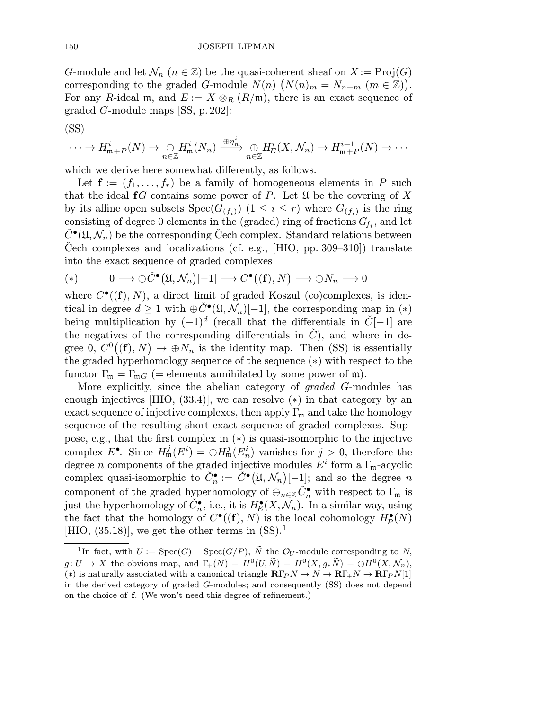G-module and let  $\mathcal{N}_n$   $(n \in \mathbb{Z})$  be the quasi-coherent sheaf on  $X := \text{Proj}(G)$ corresponding to the graded G-module  $N(n)$   $(N(n)_m = N_{n+m}$   $(m \in \mathbb{Z}))$ . For any R-ideal m, and  $E := X \otimes_R (R/\mathfrak{m})$ , there is an exact sequence of graded G-module maps [SS, p.202]:

$$
(\mathrm{SS})
$$

$$
\cdots \to H_{\mathfrak{m}+P}^i(N) \to \underset{n \in \mathbb{Z}}{\oplus} H_{\mathfrak{m}}^i(N_n) \xrightarrow{\oplus \eta_n^i} \underset{n \in \mathbb{Z}}{\oplus} H_E^i(X, \mathcal{N}_n) \to H_{\mathfrak{m}+P}^{i+1}(N) \to \cdots
$$

which we derive here somewhat differently, as follows.

Let  $f := (f_1, \ldots, f_r)$  be a family of homogeneous elements in P such that the ideal  $fG$  contains some power of P. Let  $\mathfrak U$  be the covering of X by its affine open subsets  $Spec(G_{(f_i)})$   $(1 \leq i \leq r)$  where  $G_{(f_i)}$  is the ring consisting of degree 0 elements in the (graded) ring of fractions  $G_{f_i}$ , and let  $C^{\bullet}(\mathfrak{U}, \mathcal{N}_n)$  be the corresponding Cech complex. Standard relations between Cech complexes and localizations (cf. e.g.,  $[HIO, pp. 309-310]$ ) translate into the exact sequence of graded complexes

(\*) 
$$
0 \longrightarrow \oplus \check{C}^{\bullet}(\mathfrak{U}, \mathcal{N}_n)[-1] \longrightarrow C^{\bullet}((\mathbf{f}), N) \longrightarrow \oplus N_n \longrightarrow 0
$$

where  $C^{\bullet}((\mathbf{f}), N)$ , a direct limit of graded Koszul (co)complexes, is identical in degree  $d \geq 1$  with  $\oplus \check{C}^{\bullet}(\mathfrak{U}, \mathcal{N}_n)[-1]$ , the corresponding map in  $(*)$ being multiplication by  $(-1)^d$  (recall that the differentials in  $\check{C}[-1]$  are the negatives of the corresponding differentials in  $\check{C}$ ), and where in degree  $0, C^{0}((f), N) \to \bigoplus N_{n}$  is the identity map. Then (SS) is essentially the graded hyperhomology sequence of the sequence (∗) with respect to the functor  $\Gamma_{\mathfrak{m}} = \Gamma_{\mathfrak{m}G}$  (= elements annihilated by some power of  $\mathfrak{m}$ ).

More explicitly, since the abelian category of graded G-modules has enough injectives [HIO,  $(33.4)$ ], we can resolve  $(*)$  in that category by an exact sequence of injective complexes, then apply  $\Gamma_m$  and take the homology sequence of the resulting short exact sequence of graded complexes. Suppose, e.g., that the first complex in (∗) is quasi-isomorphic to the injective complex  $E^{\bullet}$ . Since  $H^j_{\mathfrak{m}}(E^i) = \bigoplus H^j_{\mathfrak{m}}(E^i_n)$  vanishes for  $j > 0$ , therefore the degree *n* components of the graded injective modules  $E^i$  form a  $\Gamma_m$ -acyclic complex quasi-isomorphic to  $\check{C}_n^{\bullet} := \check{C}^{\bullet}(\mathfrak{U}, \mathcal{N}_n)[-1]$ ; and so the degree n component of the graded hyperhomology of  $\oplus_{n\in\mathbb{Z}} C_n^{\bullet}$  with respect to  $\Gamma_{\mathfrak{m}}$  is just the hyperhomology of  $\check{C}_n^{\bullet}$ , i.e., it is  $H^{\bullet}_E(X, \mathcal{N}_n)$ . In a similar way, using the fact that the homology of  $C^{\bullet}((\mathbf{f}), N)$  is the local cohomology  $H^{\bullet}_P(N)$ [HIO,  $(35.18)$ ], we get the other terms in  $(SS)^{1}$ .

<sup>&</sup>lt;sup>1</sup>In fact, with  $U := \text{Spec}(G) - \text{Spec}(G/P)$ ,  $\tilde{N}$  the  $\mathcal{O}_U$ -module corresponding to N,  $g: U \to X$  the obvious map, and  $\Gamma_+(N) = H^0(U, \tilde{N}) = H^0(X, g_*\tilde{N}) = \bigoplus H^0(X, \mathcal{N}_n),$ (\*) is naturally associated with a canonical triangle  $\mathbf{R}\Gamma_P N \to N \to \mathbf{R}\Gamma_+ N \to \mathbf{R}\Gamma_P N[1]$ in the derived category of graded G-modules; and consequently (SS) does not depend on the choice of f. (We won't need this degree of refinement.)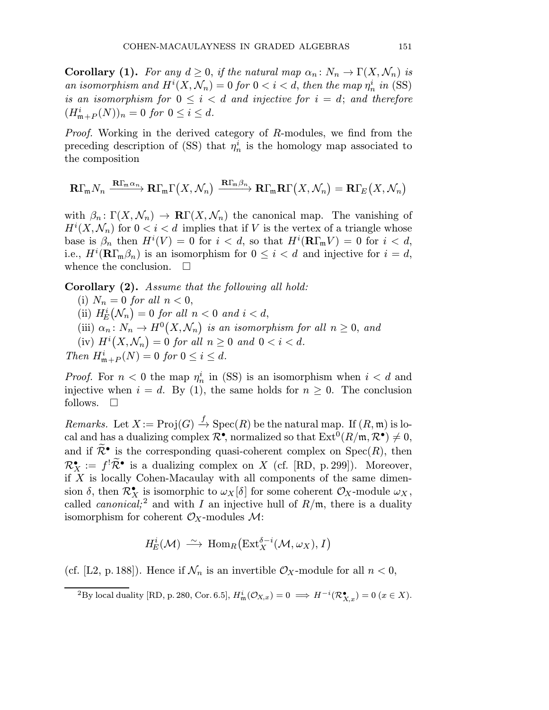**Corollary (1).** For any  $d \geq 0$ , if the natural map  $\alpha_n : N_n \to \Gamma(X, \mathcal{N}_n)$  is an isomorphism and  $H^{i}(X, \mathcal{N}_n) = 0$  for  $0 < i < d$ , then the map  $\eta_n^{i}$  in (SS) is an isomorphism for  $0 \leq i < d$  and injective for  $i = d$ ; and therefore  $(H_{\mathfrak{m}+P}^i(N))_n = 0 \text{ for } 0 \leq i \leq d.$ 

Proof. Working in the derived category of R-modules, we find from the preceding description of (SS) that  $\eta_n^i$  is the homology map associated to the composition

$$
\mathbf{R}\Gamma_{\mathfrak{m}}N_n\xrightarrow{\mathbf{R}\Gamma_{\mathfrak{m}}\alpha_n}\mathbf{R}\Gamma_{\mathfrak{m}}\Gamma\big(X,\mathcal{N}_n\big)\xrightarrow{\mathbf{R}\Gamma_{\mathfrak{m}}\beta_n}\mathbf{R}\Gamma_{\mathfrak{m}}\mathbf{R}\Gamma\big(X,\mathcal{N}_n\big)=\mathbf{R}\Gamma_E\big(X,\mathcal{N}_n\big)
$$

with  $\beta_n: \Gamma(X, \mathcal{N}_n) \to \mathbb{R}\Gamma(X, \mathcal{N}_n)$  the canonical map. The vanishing of  $H^{i}(X, \mathcal{N}_{n})$  for  $0 < i < d$  implies that if V is the vertex of a triangle whose base is  $\beta_n$  then  $H^i(V) = 0$  for  $i < d$ , so that  $H^i(\mathbf{R}\Gamma_m V) = 0$  for  $i < d$ , i.e.,  $H^i(\mathbf{R}\Gamma_{\mathfrak{m}}\beta_n)$  is an isomorphism for  $0 \leq i < d$  and injective for  $i = d$ , whence the conclusion.  $\square$ 

Corollary (2). Assume that the following all hold:

(i)  $N_n = 0$  for all  $n < 0$ , (ii)  $H_E^i(\mathcal{N}_n) = 0$  for all  $n < 0$  and  $i < d$ , (iii)  $\alpha_n \colon N_n \to H^0(X, \mathcal{N}_n)$  is an isomorphism for all  $n \geq 0$ , and (iv)  $H^i(X, \mathcal{N}_n) = 0$  for all  $n \geq 0$  and  $0 < i < d$ . Then  $H_{\mathfrak{m}+P}^i(N) = 0$  for  $0 \leq i \leq d$ .

*Proof.* For  $n < 0$  the map  $\eta_n^i$  in (SS) is an isomorphism when  $i < d$  and injective when  $i = d$ . By (1), the same holds for  $n \geq 0$ . The conclusion follows.  $\square$ 

*Remarks.* Let  $X := \text{Proj}(G) \stackrel{f}{\to} \text{Spec}(R)$  be the natural map. If  $(R, \mathfrak{m})$  is local and has a dualizing complex  $\mathcal{R}^{\bullet}$ , normalized so that  $\mathrm{Ext}^0(R/\mathfrak{m}, \mathcal{R}^{\bullet}) \neq 0$ , and if  $\widetilde{\mathcal{R}}^{\bullet}$  is the corresponding quasi-coherent complex on  $\text{Spec}(R)$ , then  $\mathcal{R}_X^{\bullet} := f^! \widetilde{\mathcal{R}}^{\bullet}$  is a dualizing complex on X (cf. [RD, p. 299]). Moreover, if  $X$  is locally Cohen-Macaulay with all components of the same dimension  $\delta$ , then  $\mathcal{R}_X^{\bullet}$  is isomorphic to  $\omega_X[\delta]$  for some coherent  $\mathcal{O}_X$ -module  $\omega_X$ , called *canonical*;<sup>2</sup> and with I an injective hull of  $R/\mathfrak{m}$ , there is a duality isomorphism for coherent  $\mathcal{O}_X$ -modules  $\mathcal{M}$ :

$$
H_E^i(\mathcal{M}) \xrightarrow{\sim} \text{Hom}_R\big(\text{Ext}_X^{\delta-i}(\mathcal{M}, \omega_X), I\big)
$$

(cf. [L2, p. 188]). Hence if  $\mathcal{N}_n$  is an invertible  $\mathcal{O}_X$ -module for all  $n < 0$ ,

<sup>&</sup>lt;sup>2</sup>By local duality [RD, p. 280, Cor. 6.5],  $H^i_{\mathfrak{m}}(\mathcal{O}_{X,x})=0 \implies H^{-i}(\mathcal{R}^{\bullet}_{X,x})=0 \ (x \in X)$ .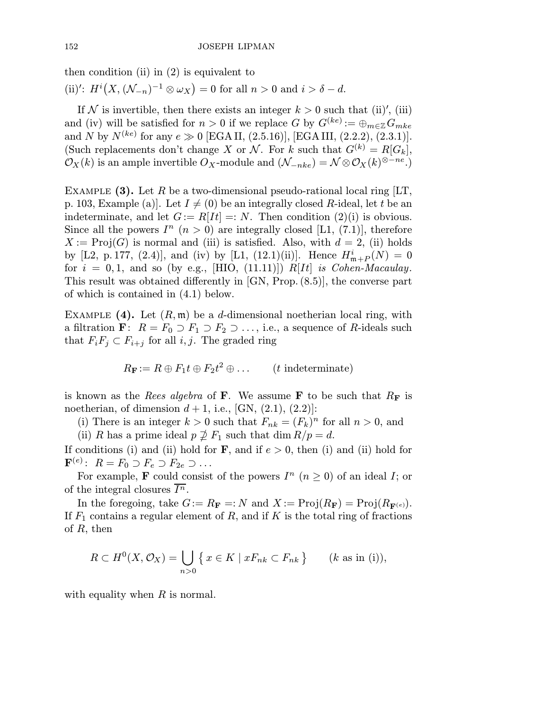then condition (ii) in  $(2)$  is equivalent to

(ii)':  $H^{i}(X, (\mathcal{N}_{-n})^{-1} \otimes \omega_{X}) = 0$  for all  $n > 0$  and  $i > \delta - d$ .

If N is invertible, then there exists an integer  $k > 0$  such that (ii)', (iii) and (iv) will be satisfied for  $n > 0$  if we replace G by  $G^{(ke)} := \bigoplus_{m \in \mathbb{Z}} G_{mke}$ and N by  $N^{(ke)}$  for any  $e \gg 0$  [EGAII, (2.5.16)], [EGAIII, (2.2.2), (2.3.1)]. (Such replacements don't change X or N. For k such that  $G^{(k)} = R[G_k],$  $\mathcal{O}_X(k)$  is an ample invertible  $O_X$ -module and  $(\mathcal{N}_{-nke}) = \mathcal{N} \otimes \mathcal{O}_X(k)^{\otimes -ne}$ .

EXAMPLE (3). Let R be a two-dimensional pseudo-rational local ring  $|LT$ , p. 103, Example (a). Let  $I \neq (0)$  be an integrally closed R-ideal, let t be an indeterminate, and let  $G := R[It] = : N$ . Then condition  $(2)(i)$  is obvious. Since all the powers  $I^n$   $(n > 0)$  are integrally closed [L1, (7.1)], therefore  $X := \text{Proj}(G)$  is normal and (iii) is satisfied. Also, with  $d = 2$ , (ii) holds by [L2, p.177, (2.4)], and (iv) by [L1, (12.1)(ii)]. Hence  $H_{\mathfrak{m}+P}^i(N)=0$ for  $i = 0, 1$ , and so (by e.g., [HIO, (11.11)]) R[It] is Cohen-Macaulay. This result was obtained differently in [GN, Prop.(8.5)], the converse part of which is contained in (4.1) below.

EXAMPLE  $(4)$ . Let  $(R, \mathfrak{m})$  be a *d*-dimensional noetherian local ring, with a filtration **F**:  $R = F_0 \supset F_1 \supset F_2 \supset \ldots$ , i.e., a sequence of R-ideals such that  $F_iF_j\subset F_{i+j}$  for all i, j. The graded ring

$$
R_{\mathbf{F}} := R \oplus F_1 t \oplus F_2 t^2 \oplus \dots \qquad (t \text{ indeterminate})
$$

is known as the *Rees algebra* of **F**. We assume **F** to be such that  $R_F$  is noetherian, of dimension  $d+1$ , i.e., [GN,  $(2.1)$ ,  $(2.2)$ ]:

(i) There is an integer  $k > 0$  such that  $F_{nk} = (F_k)^n$  for all  $n > 0$ , and

(ii) R has a prime ideal  $p \not\supseteq F_1$  such that dim  $R/p = d$ .

If conditions (i) and (ii) hold for  $\bf{F}$ , and if  $e > 0$ , then (i) and (ii) hold for  $\mathbf{F}^{(e)}$ :  $R = F_0 \supset F_e \supset F_{2e} \supset \dots$ 

For example, **F** could consist of the powers  $I^n$   $(n \geq 0)$  of an ideal I; or of the integral closures  $\overline{I^n}$ .

In the foregoing, take  $G := R_{\mathbf{F}} =: N$  and  $X := \text{Proj}(R_{\mathbf{F}}) = \text{Proj}(R_{\mathbf{F}^{(e)}})$ . If  $F_1$  contains a regular element of R, and if K is the total ring of fractions of  $R$ , then

$$
R \subset H^0(X, \mathcal{O}_X) = \bigcup_{n>0} \{ x \in K \mid xF_{nk} \subset F_{nk} \} \qquad (k \text{ as in (i))},
$$

with equality when  $R$  is normal.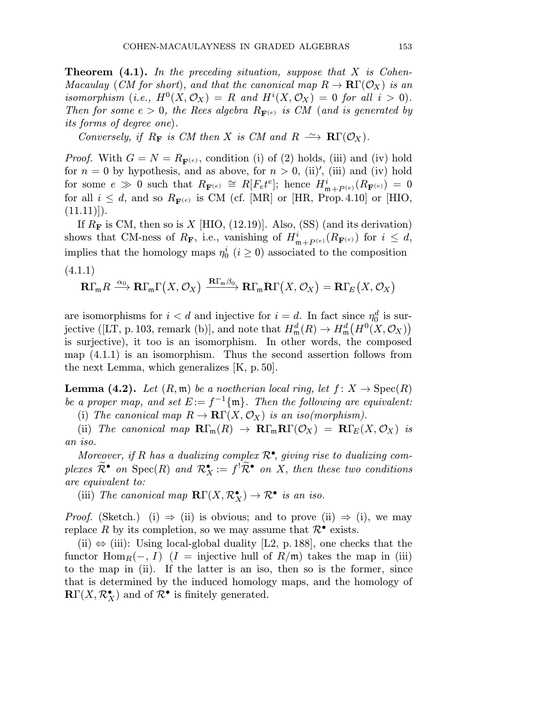**Theorem (4.1).** In the preceding situation, suppose that  $X$  is Cohen-Macaulay (CM for short), and that the canonical map  $R \to \mathbf{R}\Gamma(\mathcal{O}_X)$  is an isomorphism (i.e.,  $H^0(X, \mathcal{O}_X) = R$  and  $H^i(X, \mathcal{O}_X) = 0$  for all  $i > 0$ ). Then for some  $e > 0$ , the Rees algebra  $R_{\mathbf{F}(e)}$  is CM (and is generated by its forms of degree one).

Conversely, if  $R_F$  is CM then X is CM and  $R \rightharpoonup \mathbb{R}\Gamma(\mathcal{O}_X)$ .

*Proof.* With  $G = N = R_{\mathbf{F}^{(e)}}$ , condition (i) of (2) holds, (iii) and (iv) hold for  $n = 0$  by hypothesis, and as above, for  $n > 0$ , (ii)', (iii) and (iv) hold for some  $e \gg 0$  such that  $R_{\mathbf{F}^{(e)}} \cong R[F_e t^e];$  hence  $H^i_{\mathfrak{m}+P^{(e)}}(R_{\mathbf{F}^{(e)}}) = 0$ for all  $i \leq d$ , and so  $R_{\mathbf{F}^{(e)}}$  is CM (cf. [MR] or [HR, Prop. 4.10] or [HIO,  $(11.11)$ .

If  $R_F$  is CM, then so is X [HIO, (12.19)]. Also, (SS) (and its derivation) shows that CM-ness of  $R_{\bf F}$ , i.e., vanishing of  $H^i_{\mathfrak{m}+P^{(e)}}(R_{\bf F^{(e)}})$  for  $i \leq d$ , implies that the homology maps  $\eta_0^i$   $(i \geq 0)$  associated to the composition (4.1.1)

$$
\mathbf{R}\Gamma_{\mathfrak{m}}R\xrightarrow{\alpha_{0}}\mathbf{R}\Gamma_{\mathfrak{m}}\Gamma\big(X,\mathcal{O}_{X}\big)\xrightarrow{\mathbf{R}\Gamma_{\mathfrak{m}}\beta_{0}}\mathbf{R}\Gamma_{\mathfrak{m}}\mathbf{R}\Gamma\big(X,\mathcal{O}_{X}\big)=\mathbf{R}\Gamma_{E}\big(X,\mathcal{O}_{X}\big)
$$

are isomorphisms for  $i < d$  and injective for  $i = d$ . In fact since  $\eta_0^d$  is surjective ([LT, p. 103, remark (b)], and note that  $H_{\mathfrak{m}}^d(R) \to H_{\mathfrak{m}}^d(H^0(X, \mathcal{O}_X))$ is surjective), it too is an isomorphism. In other words, the composed map (4.1.1) is an isomorphism. Thus the second assertion follows from the next Lemma, which generalizes [K, p. 50].

**Lemma (4.2).** Let  $(R, \mathfrak{m})$  be a noetherian local ring, let  $f: X \to \text{Spec}(R)$ be a proper map, and set  $E := f^{-1}\{\mathfrak{m}\}\$ . Then the following are equivalent:

(i) The canonical map  $R \to \mathbf{R}\Gamma(X, \mathcal{O}_X)$  is an iso(morphism).

(ii) The canonical map  $\mathbf{R}\Gamma_m(R) \to \mathbf{R}\Gamma_m\mathbf{R}\Gamma(\mathcal{O}_X) = \mathbf{R}\Gamma_E(X, \mathcal{O}_X)$  is an iso.

Moreover, if R has a dualizing complex  $\mathcal{R}^{\bullet}$ , giving rise to dualizing complexes  $\mathcal{R}^{\bullet}$  on  $\text{Spec}(R)$  and  $\mathcal{R}^{\bullet}_X := f^! \mathcal{R}^{\bullet}$  on X, then these two conditions are equivalent to:

(iii) The canonical map  $\mathbf{R}\Gamma(X,\mathcal{R}_X^{\bullet}) \to \mathcal{R}^{\bullet}$  is an iso.

*Proof.* (Sketch.) (i)  $\Rightarrow$  (ii) is obvious; and to prove (ii)  $\Rightarrow$  (i), we may replace R by its completion, so we may assume that  $\mathcal{R}^{\bullet}$  exists.

(ii)  $\Leftrightarrow$  (iii): Using local-global duality [L2, p. 188], one checks that the functor  $\text{Hom}_R(-, I)$  (I = injective hull of  $R/\mathfrak{m}$ ) takes the map in (iii) to the map in (ii). If the latter is an iso, then so is the former, since that is determined by the induced homology maps, and the homology of  $\mathbf{R}\Gamma(X,\mathcal{R}_{X}^{\bullet})$  and of  $\mathcal{R}^{\bullet}$  is finitely generated.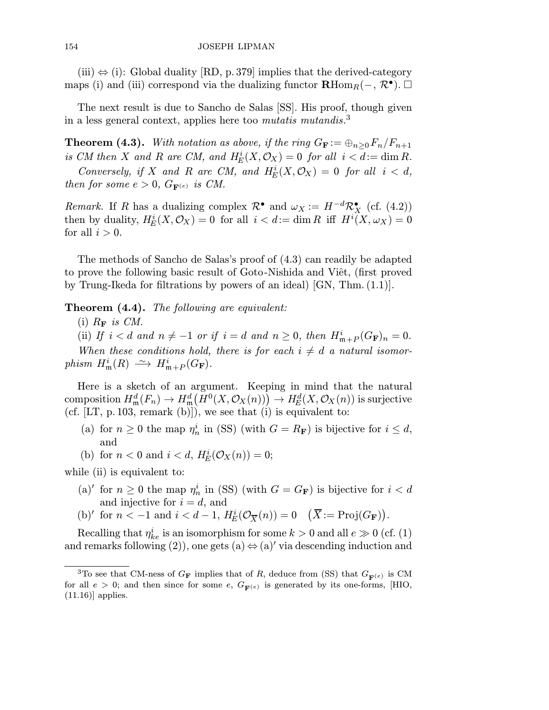$(iii) \Leftrightarrow (i)$ : Global duality [RD, p. 379] implies that the derived-category maps (i) and (iii) correspond via the dualizing functor  $\mathbf{R}\text{Hom}_{R}(-, \mathcal{R}^{\bullet}). \square$ 

The next result is due to Sancho de Salas [SS]. His proof, though given in a less general context, applies here too mutatis mutandis.<sup>3</sup>

**Theorem (4.3).** With notation as above, if the ring  $G_{\mathbf{F}} := \bigoplus_{n>0} F_n/F_{n+1}$ is CM then X and R are CM, and  $H_E^i(X, \mathcal{O}_X) = 0$  for all  $i < d := \dim R$ .

Conversely, if X and R are CM, and  $H_E^i(X, \mathcal{O}_X)=0$  for all  $i < d$ , then for some  $e > 0$ ,  $G_{\mathbf{F}^{(e)}}$  is CM.

Remark. If R has a dualizing complex  $\mathcal{R}^{\bullet}$  and  $\omega_X := H^{-d} \mathcal{R}^{\bullet}_X$  (cf. (4.2)) then by duality,  $H_E^i(X, \mathcal{O}_X) = 0$  for all  $i < d := \dim R$  iff  $H^i(X, \omega_X) = 0$ for all  $i > 0$ .

The methods of Sancho de Salas's proof of (4.3) can readily be adapted to prove the following basic result of Goto-Nishida and Viêt, (first proved by Trung-Ikeda for filtrations by powers of an ideal) [GN, Thm. (1.1)].

**Theorem (4.4).** The following are equivalent:

(i)  $R_{\mathbf{F}}$  is CM.

(ii) If  $i < d$  and  $n \neq -1$  or if  $i = d$  and  $n \geq 0$ , then  $H_{\mathfrak{m}+P}^i(G_F)_n = 0$ .

When these conditions hold, there is for each  $i \neq d$  a natural isomor $phism$   $H^i_{\mathfrak{m}}(R) \longrightarrow H^i_{\mathfrak{m}+P}(G_{\mathbf{F}})$ .

Here is a sketch of an argument. Keeping in mind that the natural  $\mathrm{composition }\ H^d_\mathfrak{m}(F_n)\to H^d_\mathfrak{m}\bigl(H^0(X,\mathcal{O}_X(n))\bigr)\to H^d_E(X,\mathcal{O}_X(n)) \text{ is surjective}$ (cf.  $[LT, p.103, remark (b)]$ ), we see that (i) is equivalent to:

- (a) for  $n \geq 0$  the map  $\eta_n^i$  in (SS) (with  $G = R_F$ ) is bijective for  $i \leq d$ , and
- (b) for  $n < 0$  and  $i < d$ ,  $H_E^i(\mathcal{O}_X(n)) = 0$ ;

while (ii) is equivalent to:

- (a)' for  $n \geq 0$  the map  $\eta_n^i$  in (SS) (with  $G = G_F$ ) is bijective for  $i < d$ and injective for  $i = d$ , and
- (b)' for  $n < -1$  and  $i < d 1$ ,  $H_E^i(\mathcal{O}_{\overline{X}}(n)) = 0$   $(\overline{X}) = \text{Proj}(G_F)$ .

Recalling that  $\eta_{ke}^i$  is an isomorphism for some  $k > 0$  and all  $e \gg 0$  (cf. (1) and remarks following (2)), one gets (a)  $\Leftrightarrow$  (a)' via descending induction and

<sup>&</sup>lt;sup>3</sup>To see that CM-ness of  $G_F$  implies that of R, deduce from (SS) that  $G_{\mathbf{F}(e)}$  is CM for all  $e > 0$ ; and then since for some e,  $G_{\mathbf{F}(e)}$  is generated by its one-forms, [HIO,  $(11.16)$ ] applies.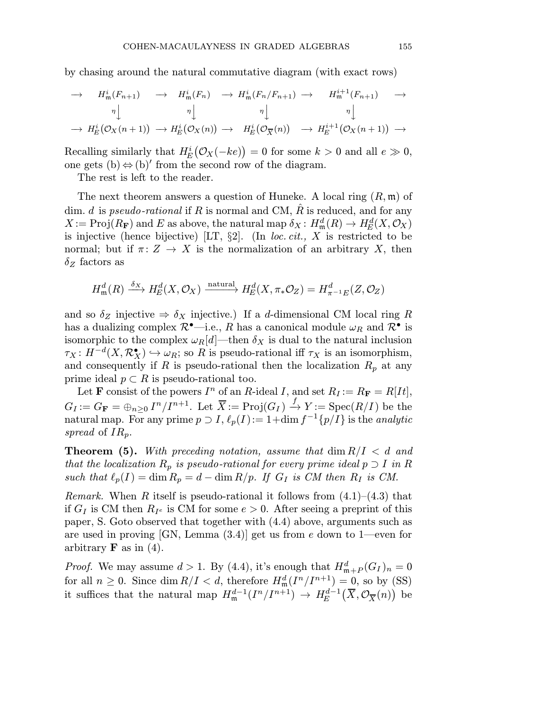by chasing around the natural commutative diagram (with exact rows)

$$
\rightarrow H_{\mathfrak{m}}^{i}(F_{n+1}) \rightarrow H_{\mathfrak{m}}^{i}(F_{n}) \rightarrow H_{\mathfrak{m}}^{i}(F_{n}/F_{n+1}) \rightarrow H_{\mathfrak{m}}^{i+1}(F_{n+1}) \rightarrow
$$
  
\n
$$
\begin{array}{c}\n\eta \bigcup_{\mathfrak{m}} \eta \bigcup_{\mathfrak{m}} \eta \bigcup_{\mathfrak{m}} \eta \bigcup_{\mathfrak{m}} \eta \bigcup_{\mathfrak{m}} \eta \bigcup_{\mathfrak{m}} \eta \bigcup_{\mathfrak{m}} \eta \bigcup_{\mathfrak{m}} \eta \bigcup_{\mathfrak{m}} \eta \bigcup_{\mathfrak{m}} \eta \bigcup_{\mathfrak{m}} \eta \bigcup_{\mathfrak{m}} \eta \bigcup_{\mathfrak{m}} \eta \bigcup_{\mathfrak{m}} \eta \bigcup_{\mathfrak{m}} \eta \bigcup_{\mathfrak{m}} \eta \bigcup_{\mathfrak{m}} \eta \bigcup_{\mathfrak{m}} \eta \bigcup_{\mathfrak{m}} \eta \bigcup_{\mathfrak{m}} \eta \bigcup_{\mathfrak{m}} \eta \bigcup_{\mathfrak{m}} \eta \bigcup_{\mathfrak{m}} \eta \bigcup_{\mathfrak{m}} \eta \bigcup_{\mathfrak{m}} \eta \bigcup_{\mathfrak{m}} \eta \bigcup_{\mathfrak{m}} \eta \bigcup_{\mathfrak{m}} \eta \bigcup_{\mathfrak{m}} \eta \bigcup_{\mathfrak{m}} \eta \bigcup_{\mathfrak{m}} \eta \bigcup_{\mathfrak{m}} \eta \bigcup_{\mathfrak{m}} \eta \bigcup_{\mathfrak{m}} \eta \bigcup_{\mathfrak{m}} \eta \bigcup_{\mathfrak{m}} \eta \bigcap_{\mathfrak{m}} \eta \bigcap_{\mathfrak{m}} \eta \bigcap_{\mathfrak{m}} \eta \bigcap_{\mathfrak{m}} \eta \bigcap_{\mathfrak{m}} \eta \bigcap_{\mathfrak{m}} \eta \bigcap_{\mathfrak{m}} \eta \bigcap_{\mathfrak{m}} \eta \bigcap_{\mathfrak{m}} \eta \bigcap_{\mathfrak{m}} \eta \bigcap_{\mathfrak{m}} \eta \bigcap_{\mathfrak{m}} \eta \bigcap_{\mathfrak{m}} \eta \bigcap_{\mathfrak{m}} \eta \bigcap
$$

Recalling similarly that  $H_E^i(\mathcal{O}_X(-ke)) = 0$  for some  $k > 0$  and all  $e \gg 0$ , one gets  $(b) \Leftrightarrow (b)'$  from the second row of the diagram.

The rest is left to the reader.

The next theorem answers a question of Huneke. A local ring  $(R, \mathfrak{m})$  of dim. d is pseudo-rational if R is normal and CM, R is reduced, and for any  $X := \text{Proj}(R_{\mathbf{F}})$  and E as above, the natural map  $\delta_X : H^d_{\mathfrak{m}}(R) \to H^d_E(X, \mathcal{O}_X)$ is injective (hence bijective) [LT,  $\S2$ ]. (In loc. cit., X is restricted to be normal; but if  $\pi: Z \to X$  is the normalization of an arbitrary X, then  $\delta_Z$  factors as

$$
H_{\mathfrak{m}}^{d}(R) \xrightarrow{\delta_{X}} H_{E}^{d}(X, \mathcal{O}_{X}) \xrightarrow{\text{natural}} H_{E}^{d}(X, \pi_{*} \mathcal{O}_{Z}) = H_{\pi^{-1}E}^{d}(Z, \mathcal{O}_{Z})
$$

and so  $\delta_Z$  injective  $\Rightarrow \delta_X$  injective.) If a d-dimensional CM local ring R has a dualizing complex  $\mathcal{R}^{\bullet}$ —i.e., R has a canonical module  $\omega_R$  and  $\mathcal{R}^{\bullet}$  is isomorphic to the complex  $\omega_R[d]$ —then  $\delta_X$  is dual to the natural inclusion  $\tau_X: H^{-d}(X, \mathcal{R}_X^{\bullet}) \hookrightarrow \omega_R$ ; so R is pseudo-rational iff  $\tau_X$  is an isomorphism, and consequently if R is pseudo-rational then the localization  $R_p$  at any prime ideal  $p \subset R$  is pseudo-rational too.

Let **F** consist of the powers  $I^n$  of an R-ideal I, and set  $R_I := R_F = R[It]$ ,  $G_I := G_{\mathbf{F}} = \bigoplus_{n \geq 0} I^n / I^{n+1}$ . Let  $\overline{X} := \text{Proj}(G_I) \stackrel{f}{\to} Y := \text{Spec}(R/I)$  be the natural map. For any prime  $p \supset I$ ,  $\ell_p(I) := 1+\dim f^{-1}{p/I}$  is the analytic spread of  $IR_p$ .

**Theorem (5).** With preceding notation, assume that  $\dim R/I < d$  and that the localization  $R_p$  is pseudo-rational for every prime ideal  $p \supset I$  in R such that  $\ell_p(I) = \dim R_p = d - \dim R/p$ . If  $G_I$  is CM then  $R_I$  is CM.

*Remark.* When R itself is pseudo-rational it follows from  $(4.1)$ – $(4.3)$  that if  $G_I$  is CM then  $R_{I^e}$  is CM for some  $e > 0$ . After seeing a preprint of this paper, S. Goto observed that together with (4.4) above, arguments such as are used in proving  $|GN$ , Lemma  $(3.4)|$  get us from e down to 1—even for arbitrary  $\bf{F}$  as in (4).

*Proof.* We may assume  $d > 1$ . By (4.4), it's enough that  $H_{\mathfrak{m}+P}^d(G_I)_n = 0$ for all  $n \geq 0$ . Since  $\dim R/I < d$ , therefore  $H_{\mathfrak{m}}^d(I^n/I^{n+1}) = 0$ , so by (SS) it suffices that the natural map  $H_{\mathfrak{m}}^{d-1}(I^n/I^{n+1}) \to H_E^{d-1}(\overline{X}, \mathcal{O}_{\overline{X}}(n))$  be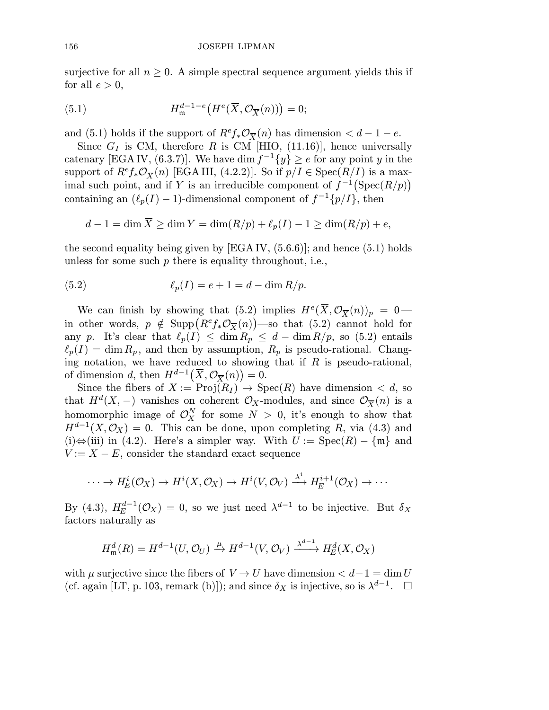surjective for all  $n \geq 0$ . A simple spectral sequence argument yields this if for all  $e > 0$ ,

(5.1) 
$$
H_{\mathfrak{m}}^{d-1-e}\left(H^{e}(\overline{X},\mathcal{O}_{\overline{X}}(n))\right)=0;
$$

and (5.1) holds if the support of  $R^e f_* \mathcal{O}_{\overline{X}}(n)$  has dimension  $\lt d - 1 - e$ .

Since  $G_I$  is CM, therefore R is CM [HIO, (11.16)], hence universally catenary [EGAIV, (6.3.7)]. We have dim  $f^{-1}{y} \ge e$  for any point y in the support of  $R^e f_* \mathcal{O}_{\overline{X}}(n)$  [EGAIII, (4.2.2)]. So if  $p/I \in \text{Spec}(R/I)$  is a maximal such point, and if Y is an irreducible component of  $f^{-1}(\text{Spec}(R/p))$ containing an  $(\ell_p(I) - 1)$ -dimensional component of  $f^{-1}{p/I}$ , then

$$
d-1 = \dim \overline{X} \ge \dim Y = \dim(R/p) + \ell_p(I) - 1 \ge \dim(R/p) + e,
$$

the second equality being given by  $[EGA IV, (5.6.6)]$ ; and hence  $(5.1)$  holds unless for some such  $p$  there is equality throughout, i.e.,

(5.2) 
$$
\ell_p(I) = e + 1 = d - \dim R/p.
$$

We can finish by showing that (5.2) implies  $H^e(\overline{X}, \mathcal{O}_{\overline{X}}(n))_p = 0$  in other words,  $p \notin \text{Supp}\left( R^e f_* \mathcal{O}_{\overline{X}}(n) \right)$ —so that (5.2) cannot hold for any p. It's clear that  $\ell_p(I) \leq \dim R_p \leq d - \dim R/p$ , so (5.2) entails  $\ell_p(I) = \dim R_p$ , and then by assumption,  $R_p$  is pseudo-rational. Changing notation, we have reduced to showing that if  $R$  is pseudo-rational, of dimension d, then  $H^{d-1}(\overline{X}, \mathcal{O}_{\overline{X}}(n)) = 0$ .

Since the fibers of  $X := \text{Proj}(R_I) \to \text{Spec}(R)$  have dimension  $\lt d$ , so that  $H^d(X, -)$  vanishes on coherent  $\mathcal{O}_X$ -modules, and since  $\mathcal{O}_{\overline{X}}(n)$  is a homomorphic image of  $\mathcal{O}_X^N$  for some  $N > 0$ , it's enough to show that  $H^{d-1}(X,\mathcal{O}_X) = 0$ . This can be done, upon completing R, via (4.3) and (i)⇔(iii) in (4.2). Here's a simpler way. With  $U := \text{Spec}(R) - \{\mathfrak{m}\}\$ and  $V := X - E$ , consider the standard exact sequence

$$
\cdots \to H_E^i(\mathcal{O}_X) \to H^i(X, \mathcal{O}_X) \to H^i(V, \mathcal{O}_V) \xrightarrow{\lambda^i} H_E^{i+1}(\mathcal{O}_X) \to \cdots
$$

By (4.3),  $H_E^{d-1}(\mathcal{O}_X) = 0$ , so we just need  $\lambda^{d-1}$  to be injective. But  $\delta_X$ factors naturally as

$$
H_{\mathfrak{m}}^{d}(R) = H^{d-1}(U, \mathcal{O}_{U}) \xrightarrow{\mu} H^{d-1}(V, \mathcal{O}_{V}) \xrightarrow{\lambda^{d-1}} H_{E}^{d}(X, \mathcal{O}_{X})
$$

with  $\mu$  surjective since the fibers of  $V \to U$  have dimension  $\lt d-1 = \dim U$ (cf. again [LT, p. 103, remark (b)]); and since  $\delta_X$  is injective, so is  $\lambda^{d-1}$ .  $\Box$